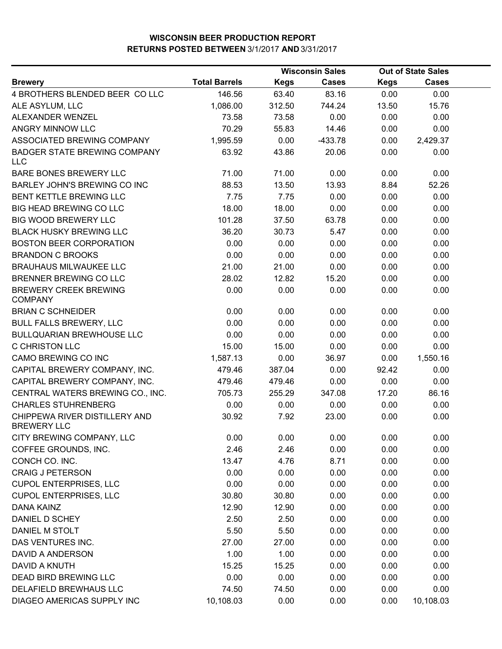|                                                     |                      |             | <b>Wisconsin Sales</b> |             | <b>Out of State Sales</b> |  |
|-----------------------------------------------------|----------------------|-------------|------------------------|-------------|---------------------------|--|
| <b>Brewery</b>                                      | <b>Total Barrels</b> | <b>Kegs</b> | <b>Cases</b>           | <b>Kegs</b> | <b>Cases</b>              |  |
| 4 BROTHERS BLENDED BEER COLLC                       | 146.56               | 63.40       | 83.16                  | 0.00        | 0.00                      |  |
| ALE ASYLUM, LLC                                     | 1,086.00             | 312.50      | 744.24                 | 13.50       | 15.76                     |  |
| ALEXANDER WENZEL                                    | 73.58                | 73.58       | 0.00                   | 0.00        | 0.00                      |  |
| ANGRY MINNOW LLC                                    | 70.29                | 55.83       | 14.46                  | 0.00        | 0.00                      |  |
| ASSOCIATED BREWING COMPANY                          | 1,995.59             | 0.00        | $-433.78$              | 0.00        | 2,429.37                  |  |
| <b>BADGER STATE BREWING COMPANY</b><br><b>LLC</b>   | 63.92                | 43.86       | 20.06                  | 0.00        | 0.00                      |  |
| BARE BONES BREWERY LLC                              | 71.00                | 71.00       | 0.00                   | 0.00        | 0.00                      |  |
| <b>BARLEY JOHN'S BREWING CO INC</b>                 | 88.53                | 13.50       | 13.93                  | 8.84        | 52.26                     |  |
| BENT KETTLE BREWING LLC                             | 7.75                 | 7.75        | 0.00                   | 0.00        | 0.00                      |  |
| <b>BIG HEAD BREWING CO LLC</b>                      | 18.00                | 18.00       | 0.00                   | 0.00        | 0.00                      |  |
| <b>BIG WOOD BREWERY LLC</b>                         | 101.28               | 37.50       | 63.78                  | 0.00        | 0.00                      |  |
| <b>BLACK HUSKY BREWING LLC</b>                      | 36.20                | 30.73       | 5.47                   | 0.00        | 0.00                      |  |
| <b>BOSTON BEER CORPORATION</b>                      | 0.00                 | 0.00        | 0.00                   | 0.00        | 0.00                      |  |
| <b>BRANDON C BROOKS</b>                             | 0.00                 | 0.00        | 0.00                   | 0.00        | 0.00                      |  |
| <b>BRAUHAUS MILWAUKEE LLC</b>                       | 21.00                | 21.00       | 0.00                   | 0.00        | 0.00                      |  |
| BRENNER BREWING CO LLC                              | 28.02                | 12.82       | 15.20                  | 0.00        | 0.00                      |  |
| <b>BREWERY CREEK BREWING</b><br><b>COMPANY</b>      | 0.00                 | 0.00        | 0.00                   | 0.00        | 0.00                      |  |
| <b>BRIAN C SCHNEIDER</b>                            | 0.00                 | 0.00        | 0.00                   | 0.00        | 0.00                      |  |
| <b>BULL FALLS BREWERY, LLC</b>                      | 0.00                 | 0.00        | 0.00                   | 0.00        | 0.00                      |  |
| <b>BULLQUARIAN BREWHOUSE LLC</b>                    | 0.00                 | 0.00        | 0.00                   | 0.00        | 0.00                      |  |
| C CHRISTON LLC                                      | 15.00                | 15.00       | 0.00                   | 0.00        | 0.00                      |  |
| CAMO BREWING CO INC                                 | 1,587.13             | 0.00        | 36.97                  | 0.00        | 1,550.16                  |  |
| CAPITAL BREWERY COMPANY, INC.                       | 479.46               | 387.04      | 0.00                   | 92.42       | 0.00                      |  |
| CAPITAL BREWERY COMPANY, INC.                       | 479.46               | 479.46      | 0.00                   | 0.00        | 0.00                      |  |
| CENTRAL WATERS BREWING CO., INC.                    | 705.73               | 255.29      | 347.08                 | 17.20       | 86.16                     |  |
| <b>CHARLES STUHRENBERG</b>                          | 0.00                 | 0.00        | 0.00                   | 0.00        | 0.00                      |  |
| CHIPPEWA RIVER DISTILLERY AND<br><b>BREWERY LLC</b> | 30.92                | 7.92        | 23.00                  | 0.00        | 0.00                      |  |
| CITY BREWING COMPANY, LLC                           | 0.00                 | 0.00        | 0.00                   | 0.00        | 0.00                      |  |
| COFFEE GROUNDS, INC.                                | 2.46                 | 2.46        | 0.00                   | 0.00        | 0.00                      |  |
| CONCH CO. INC.                                      | 13.47                | 4.76        | 8.71                   | 0.00        | 0.00                      |  |
| <b>CRAIG J PETERSON</b>                             | 0.00                 | 0.00        | 0.00                   | 0.00        | 0.00                      |  |
| <b>CUPOL ENTERPRISES, LLC</b>                       | 0.00                 | 0.00        | 0.00                   | 0.00        | 0.00                      |  |
| <b>CUPOL ENTERPRISES, LLC</b>                       | 30.80                | 30.80       | 0.00                   | 0.00        | 0.00                      |  |
| <b>DANA KAINZ</b>                                   | 12.90                | 12.90       | 0.00                   | 0.00        | 0.00                      |  |
| DANIEL D SCHEY                                      | 2.50                 | 2.50        | 0.00                   | 0.00        | 0.00                      |  |
| DANIEL M STOLT                                      | 5.50                 | 5.50        | 0.00                   | 0.00        | 0.00                      |  |
| DAS VENTURES INC.                                   | 27.00                | 27.00       | 0.00                   | 0.00        | 0.00                      |  |
| DAVID A ANDERSON                                    | 1.00                 | 1.00        | 0.00                   | 0.00        | 0.00                      |  |
| DAVID A KNUTH                                       | 15.25                | 15.25       | 0.00                   | 0.00        | 0.00                      |  |
| DEAD BIRD BREWING LLC                               | 0.00                 | 0.00        | 0.00                   | 0.00        | 0.00                      |  |
| DELAFIELD BREWHAUS LLC                              | 74.50                | 74.50       | 0.00                   | 0.00        | 0.00                      |  |
| DIAGEO AMERICAS SUPPLY INC                          | 10,108.03            | 0.00        | 0.00                   | 0.00        | 10,108.03                 |  |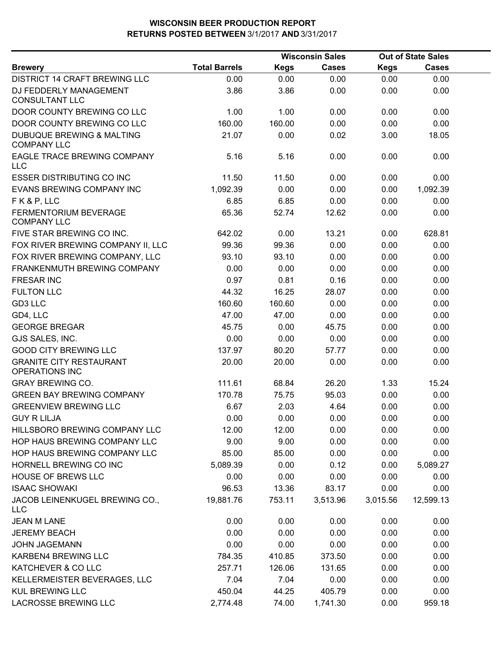|                                                            |                      |             | <b>Wisconsin Sales</b> |             | <b>Out of State Sales</b> |  |
|------------------------------------------------------------|----------------------|-------------|------------------------|-------------|---------------------------|--|
| <b>Brewery</b>                                             | <b>Total Barrels</b> | <b>Kegs</b> | <b>Cases</b>           | <b>Kegs</b> | <b>Cases</b>              |  |
| <b>DISTRICT 14 CRAFT BREWING LLC</b>                       | 0.00                 | 0.00        | 0.00                   | 0.00        | 0.00                      |  |
| DJ FEDDERLY MANAGEMENT<br><b>CONSULTANT LLC</b>            | 3.86                 | 3.86        | 0.00                   | 0.00        | 0.00                      |  |
| DOOR COUNTY BREWING CO LLC                                 | 1.00                 | 1.00        | 0.00                   | 0.00        | 0.00                      |  |
| DOOR COUNTY BREWING CO LLC                                 | 160.00               | 160.00      | 0.00                   | 0.00        | 0.00                      |  |
| <b>DUBUQUE BREWING &amp; MALTING</b><br><b>COMPANY LLC</b> | 21.07                | 0.00        | 0.02                   | 3.00        | 18.05                     |  |
| EAGLE TRACE BREWING COMPANY<br><b>LLC</b>                  | 5.16                 | 5.16        | 0.00                   | 0.00        | 0.00                      |  |
| <b>ESSER DISTRIBUTING CO INC</b>                           | 11.50                | 11.50       | 0.00                   | 0.00        | 0.00                      |  |
| <b>EVANS BREWING COMPANY INC</b>                           | 1,092.39             | 0.00        | 0.00                   | 0.00        | 1,092.39                  |  |
| FK&P, LLC                                                  | 6.85                 | 6.85        | 0.00                   | 0.00        | 0.00                      |  |
| FERMENTORIUM BEVERAGE<br><b>COMPANY LLC</b>                | 65.36                | 52.74       | 12.62                  | 0.00        | 0.00                      |  |
| FIVE STAR BREWING CO INC.                                  | 642.02               | 0.00        | 13.21                  | 0.00        | 628.81                    |  |
| FOX RIVER BREWING COMPANY II, LLC                          | 99.36                | 99.36       | 0.00                   | 0.00        | 0.00                      |  |
| FOX RIVER BREWING COMPANY, LLC                             | 93.10                | 93.10       | 0.00                   | 0.00        | 0.00                      |  |
| FRANKENMUTH BREWING COMPANY                                | 0.00                 | 0.00        | 0.00                   | 0.00        | 0.00                      |  |
| <b>FRESAR INC</b>                                          | 0.97                 | 0.81        | 0.16                   | 0.00        | 0.00                      |  |
| <b>FULTON LLC</b>                                          | 44.32                | 16.25       | 28.07                  | 0.00        | 0.00                      |  |
| GD3 LLC                                                    | 160.60               | 160.60      | 0.00                   | 0.00        | 0.00                      |  |
| GD4, LLC                                                   | 47.00                | 47.00       | 0.00                   | 0.00        | 0.00                      |  |
| <b>GEORGE BREGAR</b>                                       | 45.75                | 0.00        | 45.75                  | 0.00        | 0.00                      |  |
| GJS SALES, INC.                                            | 0.00                 | 0.00        | 0.00                   | 0.00        | 0.00                      |  |
| <b>GOOD CITY BREWING LLC</b>                               | 137.97               | 80.20       | 57.77                  | 0.00        | 0.00                      |  |
| <b>GRANITE CITY RESTAURANT</b><br><b>OPERATIONS INC</b>    | 20.00                | 20.00       | 0.00                   | 0.00        | 0.00                      |  |
| <b>GRAY BREWING CO.</b>                                    | 111.61               | 68.84       | 26.20                  | 1.33        | 15.24                     |  |
| <b>GREEN BAY BREWING COMPANY</b>                           | 170.78               | 75.75       | 95.03                  | 0.00        | 0.00                      |  |
| <b>GREENVIEW BREWING LLC</b>                               | 6.67                 | 2.03        | 4.64                   | 0.00        | 0.00                      |  |
| <b>GUY R LILJA</b>                                         | 0.00                 | 0.00        | 0.00                   | 0.00        | 0.00                      |  |
| HILLSBORO BREWING COMPANY LLC                              | 12.00                | 12.00       | 0.00                   | 0.00        | 0.00                      |  |
| HOP HAUS BREWING COMPANY LLC                               | 9.00                 | 9.00        | 0.00                   | 0.00        | 0.00                      |  |
| HOP HAUS BREWING COMPANY LLC                               | 85.00                | 85.00       | 0.00                   | 0.00        | 0.00                      |  |
| HORNELL BREWING CO INC                                     | 5,089.39             | 0.00        | 0.12                   | 0.00        | 5,089.27                  |  |
| <b>HOUSE OF BREWS LLC</b>                                  | 0.00                 | 0.00        | 0.00                   | 0.00        | 0.00                      |  |
| <b>ISAAC SHOWAKI</b>                                       | 96.53                | 13.36       | 83.17                  | 0.00        | 0.00                      |  |
| JACOB LEINENKUGEL BREWING CO.,<br><b>LLC</b>               | 19,881.76            | 753.11      | 3,513.96               | 3,015.56    | 12,599.13                 |  |
| <b>JEAN M LANE</b>                                         | 0.00                 | 0.00        | 0.00                   | 0.00        | 0.00                      |  |
| <b>JEREMY BEACH</b>                                        | 0.00                 | 0.00        | 0.00                   | 0.00        | 0.00                      |  |
| <b>JOHN JAGEMANN</b>                                       | 0.00                 | 0.00        | 0.00                   | 0.00        | 0.00                      |  |
| KARBEN4 BREWING LLC                                        | 784.35               | 410.85      | 373.50                 | 0.00        | 0.00                      |  |
| KATCHEVER & CO LLC                                         | 257.71               | 126.06      | 131.65                 | 0.00        | 0.00                      |  |
| KELLERMEISTER BEVERAGES, LLC                               | 7.04                 | 7.04        | 0.00                   | 0.00        | 0.00                      |  |
| <b>KUL BREWING LLC</b>                                     | 450.04               | 44.25       | 405.79                 | 0.00        | 0.00                      |  |
| LACROSSE BREWING LLC                                       | 2,774.48             | 74.00       | 1,741.30               | 0.00        | 959.18                    |  |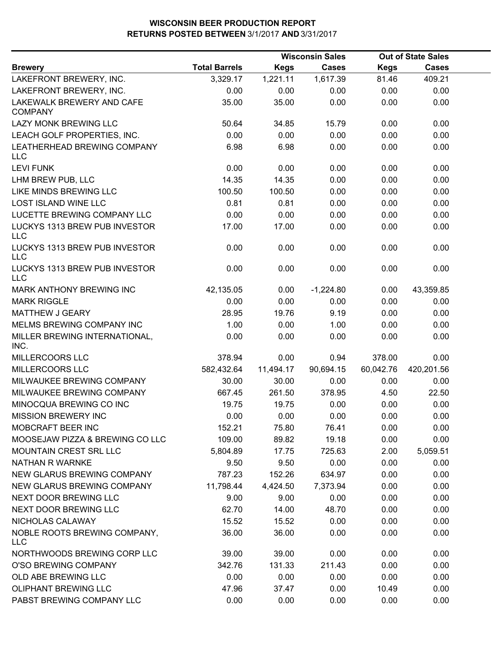|                                             |                      |             | <b>Wisconsin Sales</b> |             | <b>Out of State Sales</b> |  |
|---------------------------------------------|----------------------|-------------|------------------------|-------------|---------------------------|--|
| <b>Brewery</b>                              | <b>Total Barrels</b> | <b>Kegs</b> | <b>Cases</b>           | <b>Kegs</b> | <b>Cases</b>              |  |
| LAKEFRONT BREWERY, INC.                     | 3,329.17             | 1,221.11    | 1,617.39               | 81.46       | 409.21                    |  |
| LAKEFRONT BREWERY, INC.                     | 0.00                 | 0.00        | 0.00                   | 0.00        | 0.00                      |  |
| LAKEWALK BREWERY AND CAFE<br><b>COMPANY</b> | 35.00                | 35.00       | 0.00                   | 0.00        | 0.00                      |  |
| LAZY MONK BREWING LLC                       | 50.64                | 34.85       | 15.79                  | 0.00        | 0.00                      |  |
| LEACH GOLF PROPERTIES, INC.                 | 0.00                 | 0.00        | 0.00                   | 0.00        | 0.00                      |  |
| LEATHERHEAD BREWING COMPANY<br><b>LLC</b>   | 6.98                 | 6.98        | 0.00                   | 0.00        | 0.00                      |  |
| <b>LEVI FUNK</b>                            | 0.00                 | 0.00        | 0.00                   | 0.00        | 0.00                      |  |
| LHM BREW PUB, LLC                           | 14.35                | 14.35       | 0.00                   | 0.00        | 0.00                      |  |
| LIKE MINDS BREWING LLC                      | 100.50               | 100.50      | 0.00                   | 0.00        | 0.00                      |  |
| <b>LOST ISLAND WINE LLC</b>                 | 0.81                 | 0.81        | 0.00                   | 0.00        | 0.00                      |  |
| LUCETTE BREWING COMPANY LLC                 | 0.00                 | 0.00        | 0.00                   | 0.00        | 0.00                      |  |
| LUCKYS 1313 BREW PUB INVESTOR<br><b>LLC</b> | 17.00                | 17.00       | 0.00                   | 0.00        | 0.00                      |  |
| LUCKYS 1313 BREW PUB INVESTOR<br><b>LLC</b> | 0.00                 | 0.00        | 0.00                   | 0.00        | 0.00                      |  |
| LUCKYS 1313 BREW PUB INVESTOR<br><b>LLC</b> | 0.00                 | 0.00        | 0.00                   | 0.00        | 0.00                      |  |
| MARK ANTHONY BREWING INC                    | 42,135.05            | 0.00        | $-1,224.80$            | 0.00        | 43,359.85                 |  |
| <b>MARK RIGGLE</b>                          | 0.00                 | 0.00        | 0.00                   | 0.00        | 0.00                      |  |
| MATTHEW J GEARY                             | 28.95                | 19.76       | 9.19                   | 0.00        | 0.00                      |  |
| MELMS BREWING COMPANY INC                   | 1.00                 | 0.00        | 1.00                   | 0.00        | 0.00                      |  |
| MILLER BREWING INTERNATIONAL,<br>INC.       | 0.00                 | 0.00        | 0.00                   | 0.00        | 0.00                      |  |
| MILLERCOORS LLC                             | 378.94               | 0.00        | 0.94                   | 378.00      | 0.00                      |  |
| MILLERCOORS LLC                             | 582,432.64           | 11,494.17   | 90,694.15              | 60,042.76   | 420,201.56                |  |
| MILWAUKEE BREWING COMPANY                   | 30.00                | 30.00       | 0.00                   | 0.00        | 0.00                      |  |
| MILWAUKEE BREWING COMPANY                   | 667.45               | 261.50      | 378.95                 | 4.50        | 22.50                     |  |
| MINOCQUA BREWING CO INC                     | 19.75                | 19.75       | 0.00                   | 0.00        | 0.00                      |  |
| <b>MISSION BREWERY INC</b>                  | 0.00                 | 0.00        | 0.00                   | 0.00        | 0.00                      |  |
| MOBCRAFT BEER INC                           | 152.21               | 75.80       | 76.41                  | 0.00        | 0.00                      |  |
| MOOSEJAW PIZZA & BREWING CO LLC             | 109.00               | 89.82       | 19.18                  | 0.00        | 0.00                      |  |
| MOUNTAIN CREST SRL LLC                      | 5,804.89             | 17.75       | 725.63                 | 2.00        | 5,059.51                  |  |
| NATHAN R WARNKE                             | 9.50                 | 9.50        | 0.00                   | 0.00        | 0.00                      |  |
| NEW GLARUS BREWING COMPANY                  | 787.23               | 152.26      | 634.97                 | 0.00        | 0.00                      |  |
| NEW GLARUS BREWING COMPANY                  | 11,798.44            | 4,424.50    | 7,373.94               | 0.00        | 0.00                      |  |
| NEXT DOOR BREWING LLC                       | 9.00                 | 9.00        | 0.00                   | 0.00        | 0.00                      |  |
| NEXT DOOR BREWING LLC                       | 62.70                | 14.00       | 48.70                  | 0.00        | 0.00                      |  |
| NICHOLAS CALAWAY                            | 15.52                | 15.52       | 0.00                   | 0.00        | 0.00                      |  |
| NOBLE ROOTS BREWING COMPANY,<br><b>LLC</b>  | 36.00                | 36.00       | 0.00                   | 0.00        | 0.00                      |  |
| NORTHWOODS BREWING CORP LLC                 | 39.00                | 39.00       | 0.00                   | 0.00        | 0.00                      |  |
| O'SO BREWING COMPANY                        | 342.76               | 131.33      | 211.43                 | 0.00        | 0.00                      |  |
| OLD ABE BREWING LLC                         | 0.00                 | 0.00        | 0.00                   | 0.00        | 0.00                      |  |
| OLIPHANT BREWING LLC                        | 47.96                | 37.47       | 0.00                   | 10.49       | 0.00                      |  |
| PABST BREWING COMPANY LLC                   | 0.00                 | 0.00        | 0.00                   | 0.00        | 0.00                      |  |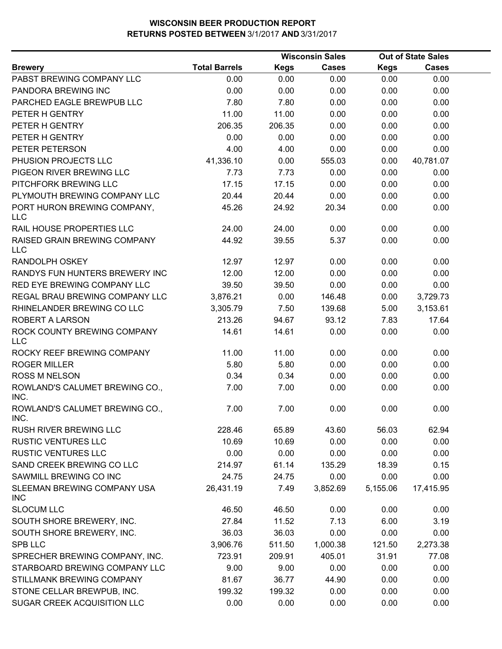|                                            |                      |             | <b>Wisconsin Sales</b> |             | <b>Out of State Sales</b> |  |
|--------------------------------------------|----------------------|-------------|------------------------|-------------|---------------------------|--|
| <b>Brewery</b>                             | <b>Total Barrels</b> | <b>Kegs</b> | <b>Cases</b>           | <b>Kegs</b> | <b>Cases</b>              |  |
| PABST BREWING COMPANY LLC                  | 0.00                 | 0.00        | 0.00                   | 0.00        | 0.00                      |  |
| PANDORA BREWING INC                        | 0.00                 | 0.00        | 0.00                   | 0.00        | 0.00                      |  |
| PARCHED EAGLE BREWPUB LLC                  | 7.80                 | 7.80        | 0.00                   | 0.00        | 0.00                      |  |
| PETER H GENTRY                             | 11.00                | 11.00       | 0.00                   | 0.00        | 0.00                      |  |
| PETER H GENTRY                             | 206.35               | 206.35      | 0.00                   | 0.00        | 0.00                      |  |
| PETER H GENTRY                             | 0.00                 | 0.00        | 0.00                   | 0.00        | 0.00                      |  |
| PETER PETERSON                             | 4.00                 | 4.00        | 0.00                   | 0.00        | 0.00                      |  |
| PHUSION PROJECTS LLC                       | 41,336.10            | 0.00        | 555.03                 | 0.00        | 40,781.07                 |  |
| PIGEON RIVER BREWING LLC                   | 7.73                 | 7.73        | 0.00                   | 0.00        | 0.00                      |  |
| PITCHFORK BREWING LLC                      | 17.15                | 17.15       | 0.00                   | 0.00        | 0.00                      |  |
| PLYMOUTH BREWING COMPANY LLC               | 20.44                | 20.44       | 0.00                   | 0.00        | 0.00                      |  |
| PORT HURON BREWING COMPANY,<br><b>LLC</b>  | 45.26                | 24.92       | 20.34                  | 0.00        | 0.00                      |  |
| RAIL HOUSE PROPERTIES LLC                  | 24.00                | 24.00       | 0.00                   | 0.00        | 0.00                      |  |
| RAISED GRAIN BREWING COMPANY<br><b>LLC</b> | 44.92                | 39.55       | 5.37                   | 0.00        | 0.00                      |  |
| <b>RANDOLPH OSKEY</b>                      | 12.97                | 12.97       | 0.00                   | 0.00        | 0.00                      |  |
| RANDYS FUN HUNTERS BREWERY INC             | 12.00                | 12.00       | 0.00                   | 0.00        | 0.00                      |  |
| RED EYE BREWING COMPANY LLC                | 39.50                | 39.50       | 0.00                   | 0.00        | 0.00                      |  |
| REGAL BRAU BREWING COMPANY LLC             | 3,876.21             | 0.00        | 146.48                 | 0.00        | 3,729.73                  |  |
| RHINELANDER BREWING CO LLC                 | 3,305.79             | 7.50        | 139.68                 | 5.00        | 3,153.61                  |  |
| ROBERT A LARSON                            | 213.26               | 94.67       | 93.12                  | 7.83        | 17.64                     |  |
| ROCK COUNTY BREWING COMPANY<br><b>LLC</b>  | 14.61                | 14.61       | 0.00                   | 0.00        | 0.00                      |  |
| ROCKY REEF BREWING COMPANY                 | 11.00                | 11.00       | 0.00                   | 0.00        | 0.00                      |  |
| <b>ROGER MILLER</b>                        | 5.80                 | 5.80        | 0.00                   | 0.00        | 0.00                      |  |
| <b>ROSS M NELSON</b>                       | 0.34                 | 0.34        | 0.00                   | 0.00        | 0.00                      |  |
| ROWLAND'S CALUMET BREWING CO.,<br>INC.     | 7.00                 | 7.00        | 0.00                   | 0.00        | 0.00                      |  |
| ROWLAND'S CALUMET BREWING CO.,<br>INC.     | 7.00                 | 7.00        | 0.00                   | 0.00        | 0.00                      |  |
| RUSH RIVER BREWING LLC                     | 228.46               | 65.89       | 43.60                  | 56.03       | 62.94                     |  |
| <b>RUSTIC VENTURES LLC</b>                 | 10.69                | 10.69       | 0.00                   | 0.00        | 0.00                      |  |
| <b>RUSTIC VENTURES LLC</b>                 | 0.00                 | 0.00        | 0.00                   | 0.00        | 0.00                      |  |
| SAND CREEK BREWING CO LLC                  | 214.97               | 61.14       | 135.29                 | 18.39       | 0.15                      |  |
| SAWMILL BREWING CO INC                     | 24.75                | 24.75       | 0.00                   | 0.00        | 0.00                      |  |
| SLEEMAN BREWING COMPANY USA<br><b>INC</b>  | 26,431.19            | 7.49        | 3,852.69               | 5,155.06    | 17,415.95                 |  |
| <b>SLOCUM LLC</b>                          | 46.50                | 46.50       | 0.00                   | 0.00        | 0.00                      |  |
| SOUTH SHORE BREWERY, INC.                  | 27.84                | 11.52       | 7.13                   | 6.00        | 3.19                      |  |
| SOUTH SHORE BREWERY, INC.                  | 36.03                | 36.03       | 0.00                   | 0.00        | 0.00                      |  |
| <b>SPB LLC</b>                             | 3,906.76             | 511.50      | 1,000.38               | 121.50      | 2,273.38                  |  |
| SPRECHER BREWING COMPANY, INC.             | 723.91               | 209.91      | 405.01                 | 31.91       | 77.08                     |  |
| STARBOARD BREWING COMPANY LLC              | 9.00                 | 9.00        | 0.00                   | 0.00        | 0.00                      |  |
| STILLMANK BREWING COMPANY                  | 81.67                | 36.77       | 44.90                  | 0.00        | 0.00                      |  |
| STONE CELLAR BREWPUB, INC.                 | 199.32               | 199.32      | 0.00                   | 0.00        | 0.00                      |  |
| SUGAR CREEK ACQUISITION LLC                | 0.00                 | 0.00        | 0.00                   | 0.00        | 0.00                      |  |